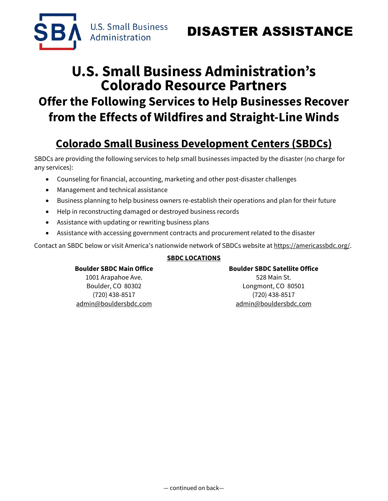



# **U.S. Small Business Administration's Colorado Resource Partners Offer the Following Services to Help Businesses Recover from the Effects of Wildfires and Straight-Line Winds**

# **Colorado Small Business Development Centers (SBDCs)**

SBDCs are providing the following services to help small businesses impacted by the disaster (no charge for any services):

- Counseling for financial, accounting, marketing and other post-disaster challenges
- Management and technical assistance
- Business planning to help business owners re-establish their operations and plan for their future
- Help in reconstructing damaged or destroyed business records
- Assistance with updating or rewriting business plans
- Assistance with accessing government contracts and procurement related to the disaster

Contact an SBDC below or visit America's nationwide network of SBDCs website at [https://americassbdc.org/.](https://americassbdc.org/)

#### **SBDC LOCATIONS**

### **Boulder SBDC Main Office**

1001 Arapahoe Ave. Boulder, CO 80302 (720) 438-8517 [admin@bouldersbdc.com](mailto:admin@bouldersbdc.com)

#### **Boulder SBDC Satellite Office**

528 Main St. Longmont, CO 80501 (720) 438-8517 [admin@bouldersbdc.com](mailto:admin@bouldersbdc.com)